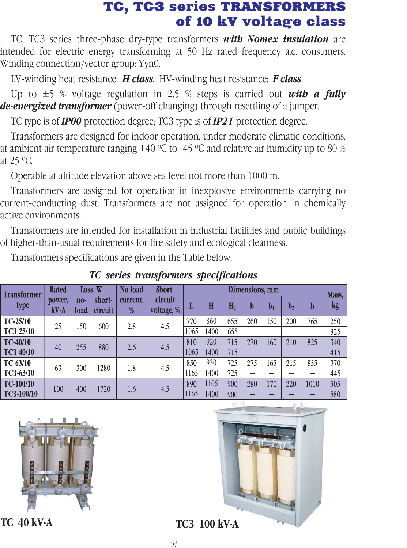## TC, TC3 series TRANSFORMERS<br>of 10 kV voltage class

TC, TC3 series three-phase dry-type transformers *with Nomex insulation* are intended for electric energy transforming at 50 Hz rated frequency a.c. consumers. Winding connection/vector group: Yyn0. of the transformance contains the uncontained and

LV-winding heat resistance: *H class*, HV-winding heat resistance: *F class*.

Up to  $\pm$ 5 % voltage regulation in 2.5 % steps is carried out *with a fully de-energized transformer* (power-off changing) through resettling of a jumper.

TC type is of *IP00* protection degree; TC3 type is of *IP21* protection degree.

Transformers are designed for indoor operation, under moderate climatic conditions, at ambient air temperature ranging +40 °C to -45 °C and relative air humidity up to 80 % at 25 o C.

Operable at altitude elevation above sea level not more than 1000 m.

Transformers are assigned for operation in inexplosive environments carrying no current-conducting dust. Transformers are not assigned for operation in chemically active environments.

Transformers are intended for installation in industrial facilities and public buildings of higher-than-usual requirements for fire safety and ecological cleanness.

Transformers specifications are given in the Table below.

Loss, W Short-Dimensions, mm Rated No-load **Transformer** Mass, power,  $n_{0}$ shortcurrent. circuit type L  $H$  $H_1$  $\mathbf b$  $$  $\mathbf{b}_2$  $\mathbf h$  $kg<sub>1</sub>$ voltage, %  $kV·A$ load circuit  $\%$  $TC-25/10$ 770 860 655 260 150 200 765 250 25 150 600 2.8  $4.5$ TC3-25/10 1065 1400 655  $\overline{\phantom{a}}$  $\overline{a}$ 325  $TC-40/10$ 810 920 715 270 160 210 825 340 40 255 880 2.6  $4.5$ TC3-40/10 1065 1400 715 415  $\equiv$  $\overline{\phantom{0}}$ ÷  $TC-63/10$ 850 930 725 275 215 370 165 835 300 63 1280 1.8 4.5 TC3-63/10 1165 1400 725 445 TC-100/10 890 1105 900 280 170 220 1010 505 100 400 1720 1.6  $4.5$ 11651400 TC3-100/10 900 580

*ÒÑ series transformers specifications*







**TC 40 kV·A TC3 100 kV·A**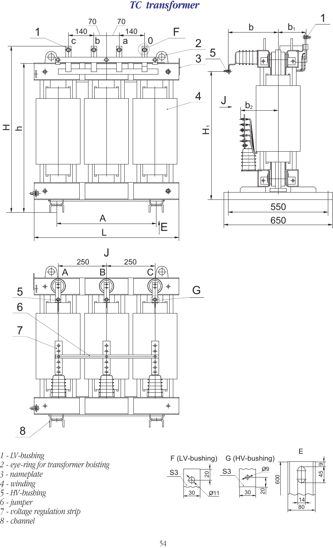**TC** transformer





- 1 LV-bushing
- 2 eye-ring for transformer hoisting
- 3 nameplate
- 4 winding
- 5 HV-bushing
- 6 jumper
- 7 voltage regulation strip
- 8 channel